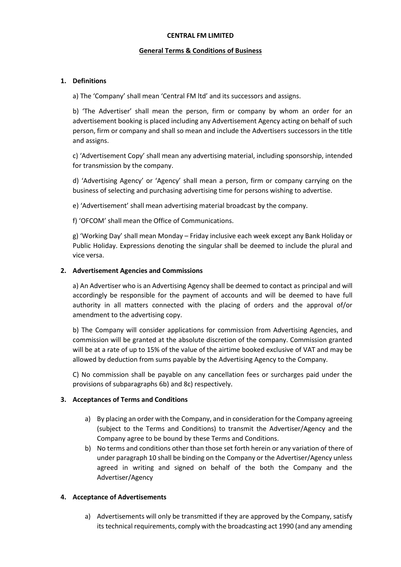#### **CENTRAL FM LIMITED**

### **General Terms & Conditions of Business**

### **1. Definitions**

a) The 'Company' shall mean 'Central FM ltd' and its successors and assigns.

b) 'The Advertiser' shall mean the person, firm or company by whom an order for an advertisement booking is placed including any Advertisement Agency acting on behalf of such person, firm or company and shall so mean and include the Advertisers successors in the title and assigns.

c) 'Advertisement Copy' shall mean any advertising material, including sponsorship, intended for transmission by the company.

d) 'Advertising Agency' or 'Agency' shall mean a person, firm or company carrying on the business of selecting and purchasing advertising time for persons wishing to advertise.

e) 'Advertisement' shall mean advertising material broadcast by the company.

f) 'OFCOM' shall mean the Office of Communications.

g) 'Working Day' shall mean Monday – Friday inclusive each week except any Bank Holiday or Public Holiday. Expressions denoting the singular shall be deemed to include the plural and vice versa.

### **2. Advertisement Agencies and Commissions**

a) An Advertiser who is an Advertising Agency shall be deemed to contact as principal and will accordingly be responsible for the payment of accounts and will be deemed to have full authority in all matters connected with the placing of orders and the approval of/or amendment to the advertising copy.

b) The Company will consider applications for commission from Advertising Agencies, and commission will be granted at the absolute discretion of the company. Commission granted will be at a rate of up to 15% of the value of the airtime booked exclusive of VAT and may be allowed by deduction from sums payable by the Advertising Agency to the Company.

C) No commission shall be payable on any cancellation fees or surcharges paid under the provisions of subparagraphs 6b) and 8c) respectively.

# **3. Acceptances of Terms and Conditions**

- a) By placing an order with the Company, and in consideration for the Company agreeing (subject to the Terms and Conditions) to transmit the Advertiser/Agency and the Company agree to be bound by these Terms and Conditions.
- b) No terms and conditions other than those set forth herein or any variation of there of under paragraph 10 shall be binding on the Company or the Advertiser/Agency unless agreed in writing and signed on behalf of the both the Company and the Advertiser/Agency

# **4. Acceptance of Advertisements**

a) Advertisements will only be transmitted if they are approved by the Company, satisfy its technical requirements, comply with the broadcasting act 1990 (and any amending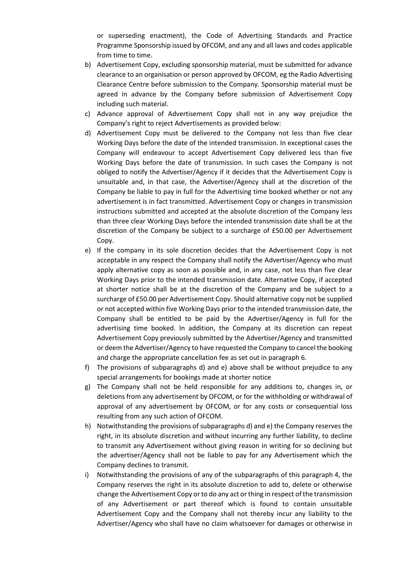or superseding enactment), the Code of Advertising Standards and Practice Programme Sponsorship issued by OFCOM, and any and all laws and codes applicable from time to time.

- b) Advertisement Copy, excluding sponsorship material, must be submitted for advance clearance to an organisation or person approved by OFCOM, eg the Radio Advertising Clearance Centre before submission to the Company. Sponsorship material must be agreed in advance by the Company before submission of Advertisement Copy including such material.
- c) Advance approval of Advertisement Copy shall not in any way prejudice the Company's right to reject Advertisements as provided below:
- d) Advertisement Copy must be delivered to the Company not less than five clear Working Days before the date of the intended transmission. In exceptional cases the Company will endeavour to accept Advertisement Copy delivered less than five Working Days before the date of transmission. In such cases the Company is not obliged to notify the Advertiser/Agency if it decides that the Advertisement Copy is unsuitable and, in that case, the Advertiser/Agency shall at the discretion of the Company be liable to pay in full for the Advertising time booked whether or not any advertisement is in fact transmitted. Advertisement Copy or changes in transmission instructions submitted and accepted at the absolute discretion of the Company less than three clear Working Days before the intended transmission date shall be at the discretion of the Company be subject to a surcharge of £50.00 per Advertisement Copy.
- e) If the company in its sole discretion decides that the Advertisement Copy is not acceptable in any respect the Company shall notify the Advertiser/Agency who must apply alternative copy as soon as possible and, in any case, not less than five clear Working Days prior to the intended transmission date. Alternative Copy, if accepted at shorter notice shall be at the discretion of the Company and be subject to a surcharge of £50.00 per Advertisement Copy. Should alternative copy not be supplied or not accepted within five Working Days prior to the intended transmission date, the Company shall be entitled to be paid by the Advertiser/Agency in full for the advertising time booked. In addition, the Company at its discretion can repeat Advertisement Copy previously submitted by the Advertiser/Agency and transmitted or deem the Advertiser/Agency to have requested the Company to cancel the booking and charge the appropriate cancellation fee as set out in paragraph 6.
- f) The provisions of subparagraphs d) and e) above shall be without prejudice to any special arrangements for bookings made at shorter notice
- g) The Company shall not be held responsible for any additions to, changes in, or deletions from any advertisement by OFCOM, or for the withholding or withdrawal of approval of any advertisement by OFCOM, or for any costs or consequential loss resulting from any such action of OFCOM.
- h) Notwithstanding the provisions of subparagraphs d) and e) the Company reserves the right, in its absolute discretion and without incurring any further liability, to decline to transmit any Advertisement without giving reason in writing for so declining but the advertiser/Agency shall not be liable to pay for any Advertisement which the Company declines to transmit.
- i) Notwithstanding the provisions of any of the subparagraphs of this paragraph 4, the Company reserves the right in its absolute discretion to add to, delete or otherwise change the Advertisement Copy or to do any act or thing in respect of the transmission of any Advertisement or part thereof which is found to contain unsuitable Advertisement Copy and the Company shall not thereby incur any liability to the Advertiser/Agency who shall have no claim whatsoever for damages or otherwise in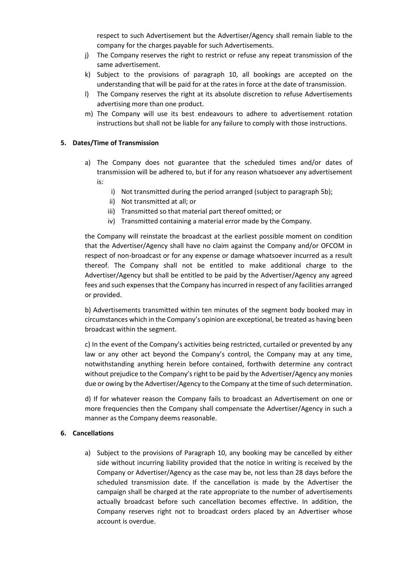respect to such Advertisement but the Advertiser/Agency shall remain liable to the company for the charges payable for such Advertisements.

- j) The Company reserves the right to restrict or refuse any repeat transmission of the same advertisement.
- k) Subject to the provisions of paragraph 10, all bookings are accepted on the understanding that will be paid for at the rates in force at the date of transmission.
- l) The Company reserves the right at its absolute discretion to refuse Advertisements advertising more than one product.
- m) The Company will use its best endeavours to adhere to advertisement rotation instructions but shall not be liable for any failure to comply with those instructions.

# **5. Dates/Time of Transmission**

- a) The Company does not guarantee that the scheduled times and/or dates of transmission will be adhered to, but if for any reason whatsoever any advertisement is:
	- i) Not transmitted during the period arranged (subject to paragraph 5b);
	- ii) Not transmitted at all; or
	- iii) Transmitted so that material part thereof omitted; or
	- iv) Transmitted containing a material error made by the Company.

the Company will reinstate the broadcast at the earliest possible moment on condition that the Advertiser/Agency shall have no claim against the Company and/or OFCOM in respect of non-broadcast or for any expense or damage whatsoever incurred as a result thereof. The Company shall not be entitled to make additional charge to the Advertiser/Agency but shall be entitled to be paid by the Advertiser/Agency any agreed fees and such expenses that the Company has incurred in respect of any facilities arranged or provided.

b) Advertisements transmitted within ten minutes of the segment body booked may in circumstances which in the Company's opinion are exceptional, be treated as having been broadcast within the segment.

c) In the event of the Company's activities being restricted, curtailed or prevented by any law or any other act beyond the Company's control, the Company may at any time, notwithstanding anything herein before contained, forthwith determine any contract without prejudice to the Company's right to be paid by the Advertiser/Agency any monies due or owing by the Advertiser/Agency to the Company at the time of such determination.

d) If for whatever reason the Company fails to broadcast an Advertisement on one or more frequencies then the Company shall compensate the Advertiser/Agency in such a manner as the Company deems reasonable.

### **6. Cancellations**

a) Subject to the provisions of Paragraph 10, any booking may be cancelled by either side without incurring liability provided that the notice in writing is received by the Company or Advertiser/Agency as the case may be, not less than 28 days before the scheduled transmission date. If the cancellation is made by the Advertiser the campaign shall be charged at the rate appropriate to the number of advertisements actually broadcast before such cancellation becomes effective. In addition, the Company reserves right not to broadcast orders placed by an Advertiser whose account is overdue.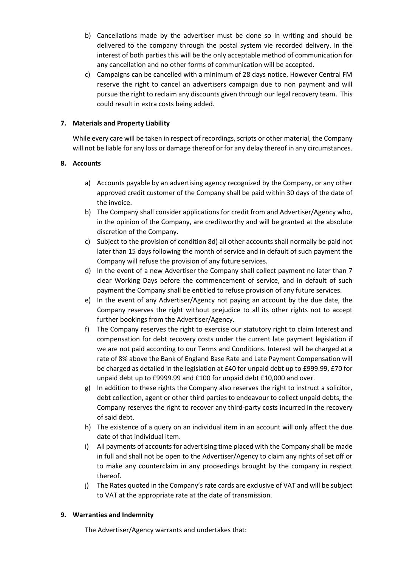- b) Cancellations made by the advertiser must be done so in writing and should be delivered to the company through the postal system vie recorded delivery. In the interest of both parties this will be the only acceptable method of communication for any cancellation and no other forms of communication will be accepted.
- c) Campaigns can be cancelled with a minimum of 28 days notice. However Central FM reserve the right to cancel an advertisers campaign due to non payment and will pursue the right to reclaim any discounts given through our legal recovery team. This could result in extra costs being added.

# **7. Materials and Property Liability**

While every care will be taken in respect of recordings, scripts or other material, the Company will not be liable for any loss or damage thereof or for any delay thereof in any circumstances.

# **8. Accounts**

- a) Accounts payable by an advertising agency recognized by the Company, or any other approved credit customer of the Company shall be paid within 30 days of the date of the invoice.
- b) The Company shall consider applications for credit from and Advertiser/Agency who, in the opinion of the Company, are creditworthy and will be granted at the absolute discretion of the Company.
- c) Subject to the provision of condition 8d) all other accounts shall normally be paid not later than 15 days following the month of service and in default of such payment the Company will refuse the provision of any future services.
- d) In the event of a new Advertiser the Company shall collect payment no later than 7 clear Working Days before the commencement of service, and in default of such payment the Company shall be entitled to refuse provision of any future services.
- e) In the event of any Advertiser/Agency not paying an account by the due date, the Company reserves the right without prejudice to all its other rights not to accept further bookings from the Advertiser/Agency.
- f) The Company reserves the right to exercise our statutory right to claim Interest and compensation for debt recovery costs under the current late payment legislation if we are not paid according to our Terms and Conditions. Interest will be charged at a rate of 8% above the Bank of England Base Rate and Late Payment Compensation will be charged as detailed in the legislation at £40 for unpaid debt up to £999.99, £70 for unpaid debt up to £9999.99 and £100 for unpaid debt £10,000 and over.
- g) In addition to these rights the Company also reserves the right to instruct a solicitor, debt collection, agent or other third parties to endeavour to collect unpaid debts, the Company reserves the right to recover any third-party costs incurred in the recovery of said debt.
- h) The existence of a query on an individual item in an account will only affect the due date of that individual item.
- i) All payments of accounts for advertising time placed with the Company shall be made in full and shall not be open to the Advertiser/Agency to claim any rights of set off or to make any counterclaim in any proceedings brought by the company in respect thereof.
- j) The Rates quoted in the Company's rate cards are exclusive of VAT and will be subject to VAT at the appropriate rate at the date of transmission.

# **9. Warranties and Indemnity**

The Advertiser/Agency warrants and undertakes that: